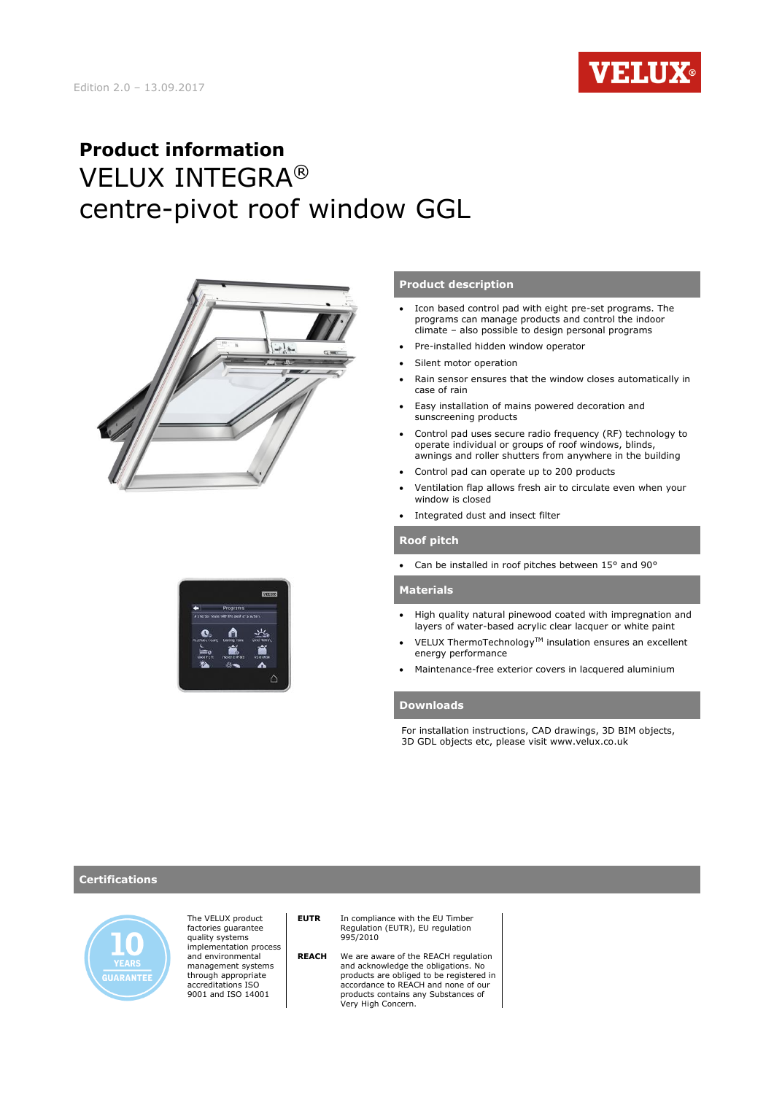

# **Product information** VELUX INTEGRA® centre-pivot roof window GGL





### **Product description**

- Icon based control pad with eight pre-set programs. The programs can manage products and control the indoor climate – also possible to design personal programs
- Pre-installed hidden window operator
- Silent motor operation
- Rain sensor ensures that the window closes automatically in case of rain
- Easy installation of mains powered decoration and sunscreening products
- Control pad uses secure radio frequency (RF) technology to operate individual or groups of roof windows, blinds, awnings and roller shutters from anywhere in the building
- Control pad can operate up to 200 products
- Ventilation flap allows fresh air to circulate even when your window is closed
- Integrated dust and insect filter

#### **Roof pitch**

Can be installed in roof pitches between 15° and 90°

#### **Materials**

- High quality natural pinewood coated with impregnation and layers of water-based acrylic clear lacquer or white paint
- VELUX ThermoTechnology™ insulation ensures an excellent energy performance
- Maintenance-free exterior covers in lacquered aluminium

### **Downloads**

For installation instructions, CAD drawings, 3D BIM objects, 3D GDL objects etc, please visit www.velux.co.uk

#### **Certifications**



The VELUX product factories guarantee quality systems implementation process and environmental management systems through appropriate accreditations ISO 9001 and ISO 14001

### **EUTR** In compliance with the EU Timber<br>Regulation (EUTR), EU regulation 995/2010

 **REACH** We are aware of the REACH regulation and acknowledge the obligations. No products are obliged to be registered in accordance to REACH and none of our products contains any Substances of Very High Concern.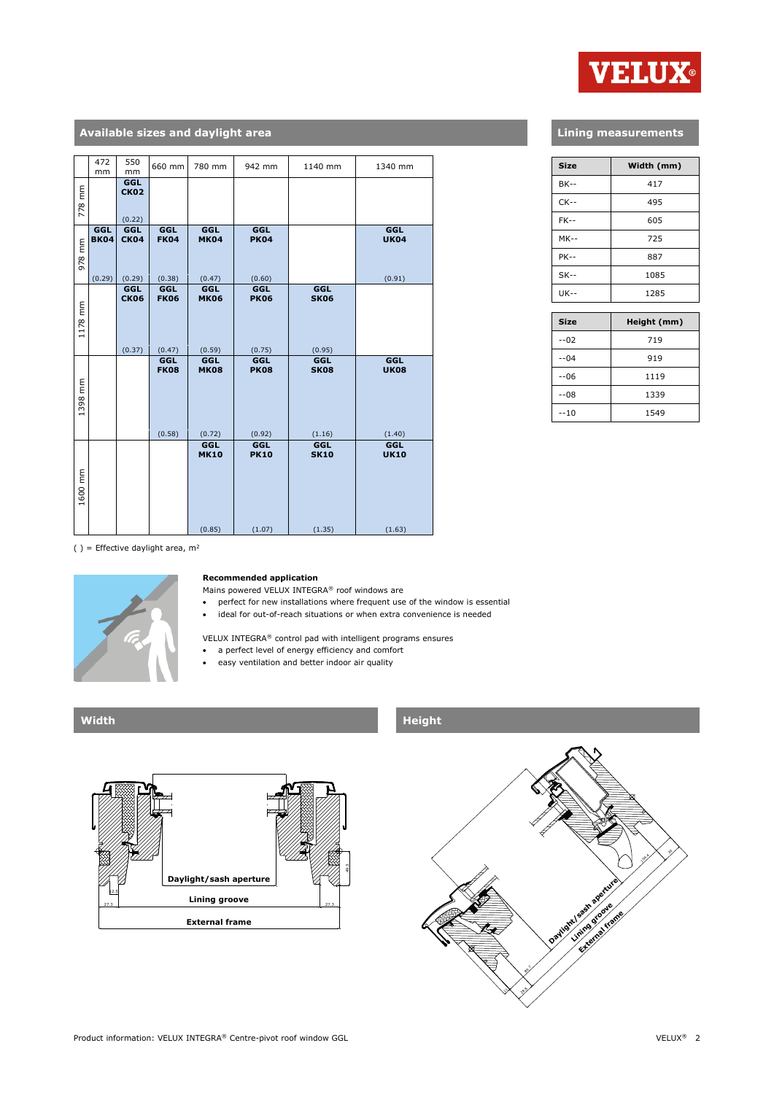

### **Available sizes and daylight area**

|         | 472                          | 550                          | 660 mm                       | 780 mm                              | 942 mm                              | 1140 mm                      | 1340 mm                             |
|---------|------------------------------|------------------------------|------------------------------|-------------------------------------|-------------------------------------|------------------------------|-------------------------------------|
|         | mm                           | mm                           |                              |                                     |                                     |                              |                                     |
| 778 mm  |                              | GGL<br><b>CK02</b><br>(0.22) |                              |                                     |                                     |                              |                                     |
| 978 mm  | GGL<br><b>BK04</b><br>(0.29) | GGL<br><b>CK04</b><br>(0.29) | GGL<br><b>FK04</b><br>(0.38) | <b>GGL</b><br><b>MK04</b><br>(0.47) | <b>GGL</b><br><b>PK04</b><br>(0.60) |                              | <b>GGL</b><br><b>UK04</b><br>(0.91) |
|         |                              | GGL                          | GGL                          | GGL                                 | <b>GGL</b>                          | GGL                          |                                     |
| 1178 mm |                              | <b>CK06</b><br>(0.37)        | <b>FK06</b><br>(0.47)        | <b>MK06</b><br>(0.59)               | <b>PK06</b><br>(0.75)               | <b>SK06</b><br>(0.95)        |                                     |
| 1398 mm |                              |                              | GGL<br><b>FK08</b><br>(0.58) | GGL<br><b>MK08</b><br>(0.72)        | <b>GGL</b><br><b>PK08</b><br>(0.92) | GGL<br><b>SK08</b><br>(1.16) | GGL<br><b>UK08</b><br>(1.40)        |
|         |                              |                              |                              | GGL                                 | <b>GGL</b>                          | GGL                          | <b>GGL</b>                          |
| 1600 mm |                              |                              |                              | <b>MK10</b><br>(0.85)               | <b>PK10</b><br>(1.07)               | <b>SK10</b><br>(1.35)        | <b>UK10</b><br>(1.63)               |

### **Lining measurements**

| <b>Size</b> | Width (mm) |
|-------------|------------|
| <b>BK--</b> | 417        |
| $CK--$      | 495        |
| $FK-$       | 605        |
| $MK--$      | 725        |
| <b>PK--</b> | 887        |
| $SK--$      | 1085       |
| $UK - -$    | 1285       |

| <b>Size</b> | Height (mm) |
|-------------|-------------|
| $-02$       | 719         |
| $-04$       | 919         |
| $-06$       | 1119        |
| $-08$       | 1339        |
| $-10$       | 1549        |

( ) = Effective daylight area,  $m^2$ 



#### **Recommended application**

Mains powered VELUX INTEGRA® roof windows are

- perfect for new installations where frequent use of the window is essential
- ideal for out-of-reach situations or when extra convenience is needed

VELUX INTEGRA® control pad with intelligent programs ensures

- a perfect level of energy efficiency and comfort
- easy ventilation and better indoor air quality



### **Width Height**

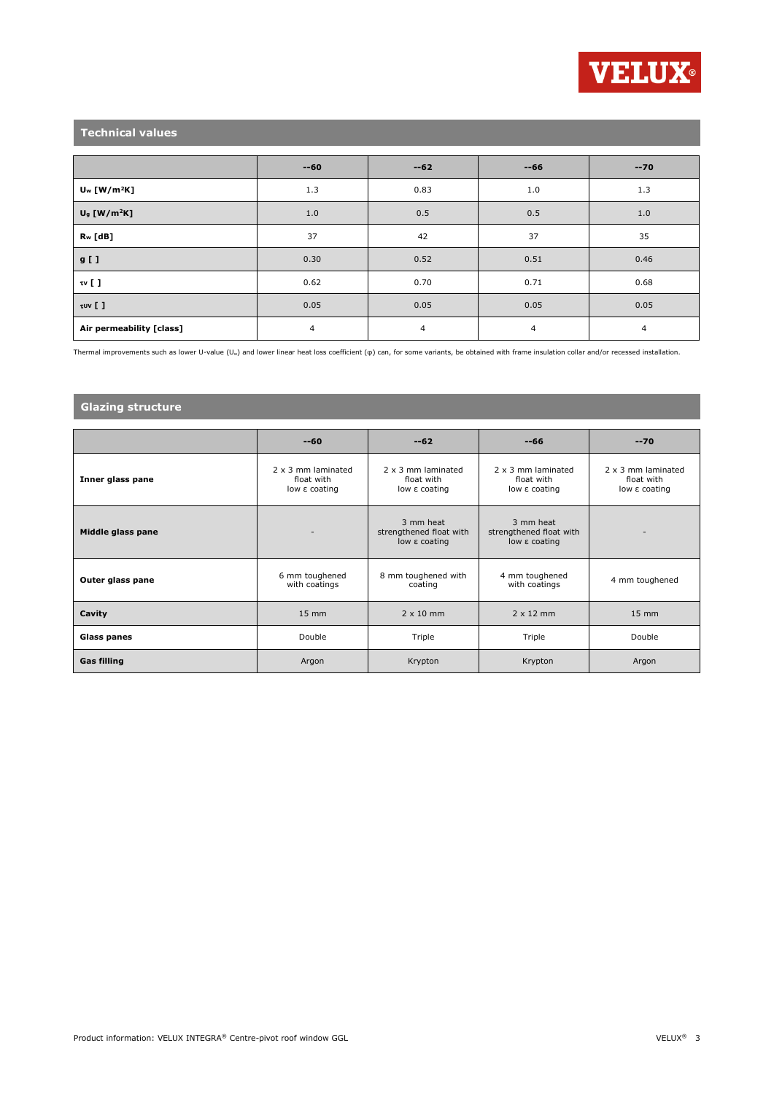

## **Technical values**

|                            | $-60$ | $-62$ | $-66$          | $-70$ |
|----------------------------|-------|-------|----------------|-------|
| $U_w$ [W/m <sup>2</sup> K] | 1.3   | 0.83  | 1.0            | 1.3   |
| $U9$ [W/m <sup>2</sup> K]  | 1.0   | 0.5   | 0.5            | 1.0   |
| R <sub>w</sub> [dB]        | 37    | 42    | 37             | 35    |
| $g$ [ ]                    | 0.30  | 0.52  | 0.51           | 0.46  |
| $\mathfrak{w}$ [ ]         | 0.62  | 0.70  | 0.71           | 0.68  |
| $\tau$ uv []               | 0.05  | 0.05  | 0.05           | 0.05  |
| Air permeability [class]   | 4     | 4     | $\overline{4}$ | 4     |

Thermal improvements such as lower U-value (Uw) and lower linear heat loss coefficient (φ) can, for some variants, be obtained with frame insulation collar and/or recessed installation.

### **Glazing structure**

|                    | $-60$                                             | $-62$                                                 | $-66$                                                 | $-70$                                                    |
|--------------------|---------------------------------------------------|-------------------------------------------------------|-------------------------------------------------------|----------------------------------------------------------|
| Inner glass pane   | 2 x 3 mm laminated<br>float with<br>low ε coating | 2 x 3 mm laminated<br>float with<br>low ε coating     | 2 x 3 mm laminated<br>float with<br>low ε coating     | $2 \times 3$ mm laminated<br>float with<br>low ε coating |
| Middle glass pane  | $\overline{\phantom{a}}$                          | 3 mm heat<br>strengthened float with<br>low ε coating | 3 mm heat<br>strengthened float with<br>low ε coating | ٠                                                        |
| Outer glass pane   | 6 mm toughened<br>with coatings                   | 8 mm toughened with<br>coating                        | 4 mm toughened<br>with coatings                       | 4 mm toughened                                           |
| Cavity             | $15 \text{ mm}$                                   | $2 \times 10$ mm                                      | $2 \times 12$ mm                                      | $15 \, \text{mm}$                                        |
| Glass panes        | Double                                            | Triple                                                | Triple                                                | Double                                                   |
| <b>Gas filling</b> | Argon                                             | Krypton                                               | Krypton                                               | Argon                                                    |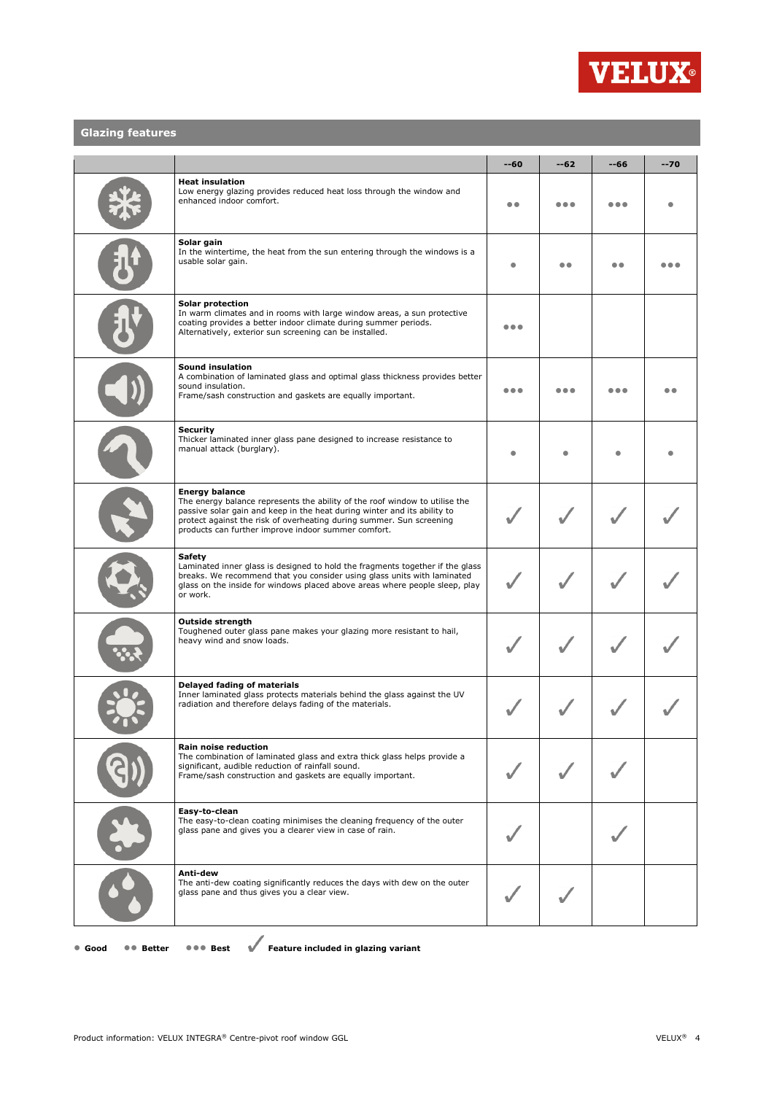

### **Glazing features**

|                                                                                                                                                                                                                                                                                                                 | $-60$ | $-62$ | --66 | $-70$ |
|-----------------------------------------------------------------------------------------------------------------------------------------------------------------------------------------------------------------------------------------------------------------------------------------------------------------|-------|-------|------|-------|
| <b>Heat insulation</b><br>Low energy glazing provides reduced heat loss through the window and<br>enhanced indoor comfort.                                                                                                                                                                                      |       |       |      |       |
| Solar gain<br>In the wintertime, the heat from the sun entering through the windows is a<br>usable solar gain.                                                                                                                                                                                                  |       |       |      |       |
| Solar protection<br>In warm climates and in rooms with large window areas, a sun protective<br>coating provides a better indoor climate during summer periods.<br>Alternatively, exterior sun screening can be installed.                                                                                       | .     |       |      |       |
| Sound insulation<br>A combination of laminated glass and optimal glass thickness provides better<br>sound insulation.<br>Frame/sash construction and gaskets are equally important.                                                                                                                             | .     |       |      |       |
| <b>Security</b><br>Thicker laminated inner glass pane designed to increase resistance to<br>manual attack (burglary).                                                                                                                                                                                           |       |       |      |       |
| <b>Energy balance</b><br>The energy balance represents the ability of the roof window to utilise the<br>passive solar gain and keep in the heat during winter and its ability to<br>protect against the risk of overheating during summer. Sun screening<br>products can further improve indoor summer comfort. |       |       |      |       |
| <b>Safety</b><br>Laminated inner glass is designed to hold the fragments together if the glass<br>breaks. We recommend that you consider using glass units with laminated<br>glass on the inside for windows placed above areas where people sleep, play<br>or work.                                            |       |       |      |       |
| <b>Outside strength</b><br>Toughened outer glass pane makes your glazing more resistant to hail,<br>heavy wind and snow loads.                                                                                                                                                                                  |       |       |      |       |
| Delayed fading of materials<br>Inner laminated glass protects materials behind the glass against the UV<br>radiation and therefore delays fading of the materials.                                                                                                                                              |       |       |      |       |
| Rain noise reduction<br>The combination of laminated glass and extra thick glass helps provide a<br>significant, audible reduction of rainfall sound.<br>Frame/sash construction and gaskets are equally important.                                                                                             |       |       |      |       |
| Easy-to-clean<br>The easy-to-clean coating minimises the cleaning frequency of the outer<br>glass pane and gives you a clearer view in case of rain.                                                                                                                                                            |       |       |      |       |
| Anti-dew<br>The anti-dew coating significantly reduces the days with dew on the outer<br>glass pane and thus gives you a clear view.                                                                                                                                                                            |       |       |      |       |

● **Good** ●● **Better** ●●● **Best Feature included in glazing variant**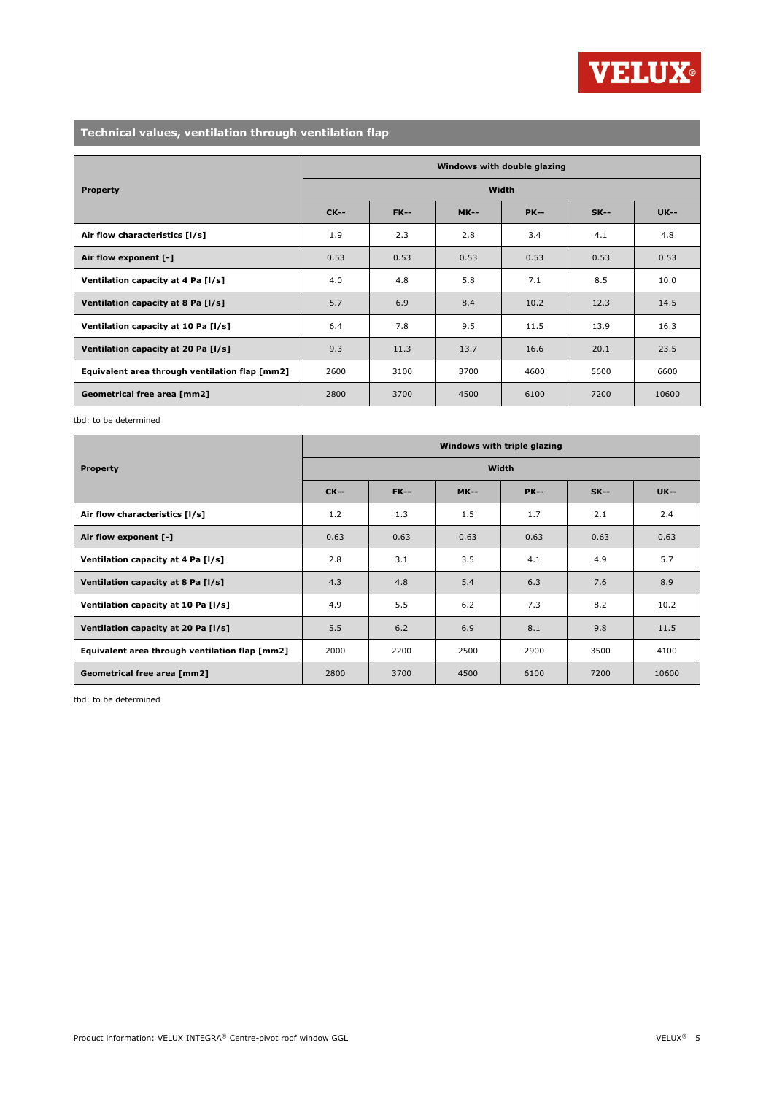

## **Technical values, ventilation through ventilation flap**

|                                                | Windows with double glazing |             |             |             |        |             |  |  |
|------------------------------------------------|-----------------------------|-------------|-------------|-------------|--------|-------------|--|--|
| <b>Property</b>                                | <b>Width</b>                |             |             |             |        |             |  |  |
|                                                | <b>CK--</b>                 | <b>FK--</b> | <b>MK--</b> | <b>PK--</b> | $SK--$ | <b>UK--</b> |  |  |
| Air flow characteristics [I/s]                 | 1.9                         | 2.3         | 2.8         | 3.4         | 4.1    | 4.8         |  |  |
| Air flow exponent [-]                          | 0.53                        | 0.53        | 0.53        | 0.53        | 0.53   | 0.53        |  |  |
| Ventilation capacity at 4 Pa [I/s]             | 4.0                         | 4.8         | 5.8         | 7.1         | 8.5    | 10.0        |  |  |
| Ventilation capacity at 8 Pa [I/s]             | 5.7                         | 6.9         | 8.4         | 10.2        | 12.3   | 14.5        |  |  |
| Ventilation capacity at 10 Pa [I/s]            | 6.4                         | 7.8         | 9.5         | 11.5        | 13.9   | 16.3        |  |  |
| Ventilation capacity at 20 Pa [I/s]            | 9.3                         | 11.3        | 13.7        | 16.6        | 20.1   | 23.5        |  |  |
| Equivalent area through ventilation flap [mm2] | 2600                        | 3100        | 3700        | 4600        | 5600   | 6600        |  |  |
| Geometrical free area [mm2]                    | 2800                        | 3700        | 4500        | 6100        | 7200   | 10600       |  |  |

tbd: to be determined

|                                                | Windows with triple glazing |             |             |             |        |             |  |  |
|------------------------------------------------|-----------------------------|-------------|-------------|-------------|--------|-------------|--|--|
| <b>Property</b>                                | Width                       |             |             |             |        |             |  |  |
|                                                | $CK-$                       | <b>FK--</b> | <b>MK--</b> | <b>PK--</b> | $SK--$ | <b>UK--</b> |  |  |
| Air flow characteristics [I/s]                 | 1.2                         | 1.3         | 1.5         | 1.7         | 2.1    | 2.4         |  |  |
| Air flow exponent [-]                          | 0.63                        | 0.63        | 0.63        | 0.63        | 0.63   | 0.63        |  |  |
| Ventilation capacity at 4 Pa [I/s]             | 2.8                         | 3.1         | 3.5         | 4.1         | 4.9    | 5.7         |  |  |
| Ventilation capacity at 8 Pa [I/s]             | 4.3                         | 4.8         | 5.4         | 6.3         | 7.6    | 8.9         |  |  |
| Ventilation capacity at 10 Pa [I/s]            | 4.9                         | 5.5         | 6.2         | 7.3         | 8.2    | 10.2        |  |  |
| Ventilation capacity at 20 Pa [I/s]            | 5.5                         | 6.2         | 6.9         | 8.1         | 9.8    | 11.5        |  |  |
| Equivalent area through ventilation flap [mm2] | 2000                        | 2200        | 2500        | 2900        | 3500   | 4100        |  |  |
| Geometrical free area [mm2]                    | 2800                        | 3700        | 4500        | 6100        | 7200   | 10600       |  |  |

tbd: to be determined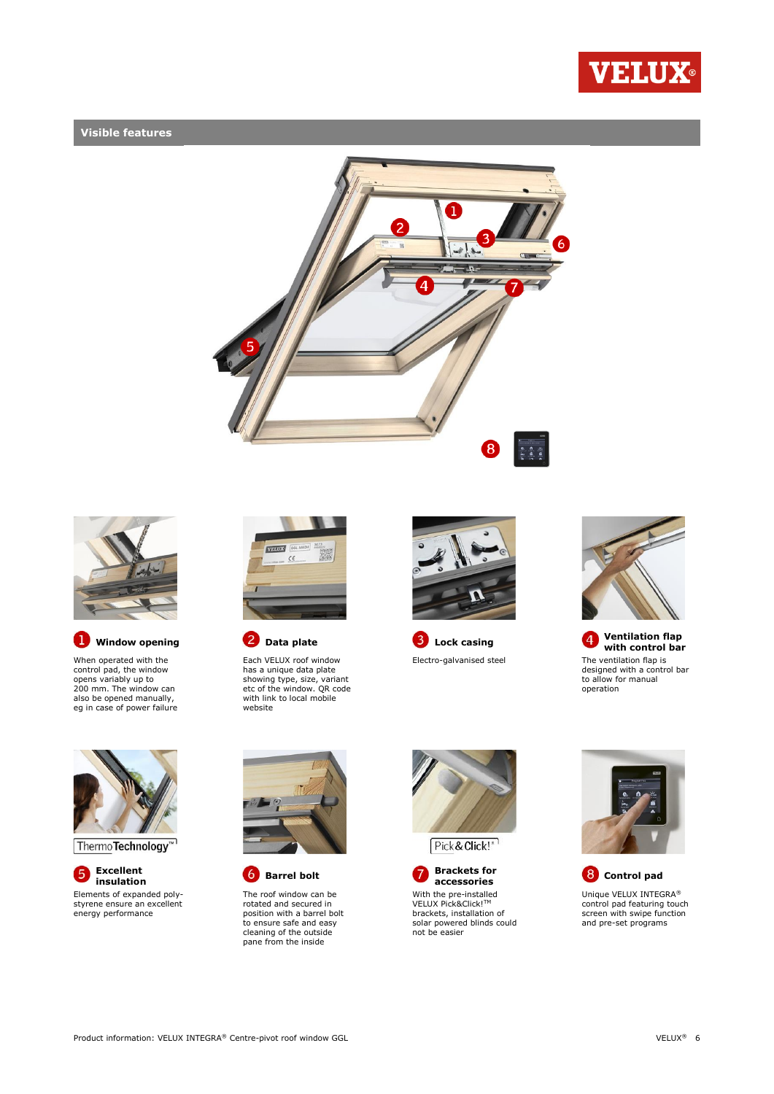

### **Visible features**





O When operated with the control pad, the window opens variably up to 200 mm. The window can

also be opened manually, eg in case of power failure



Each VELUX roof window has a unique data plate showing type, size, variant etc of the window. QR code with link to local mobile website



Electro-galvanised steel The ventilation flap is



**Window opening 2** Data plate **C** Lock casing **4** Ventilation flap **Ventilation flap with control bar** designed with a control bar to allow for manual operation



Thermo**Technology**<sup>™</sup>

**Excellent**  6 Elements of expanded polystyrene ensure an excellent energy performance



The roof window can be rotated and secured in position with a barrel bolt to ensure safe and easy cleaning of the outside pane from the inside







**accessories Control pad** Unique VELUX INTEGRA® control pad featuring touch screen with swipe function and pre-set programs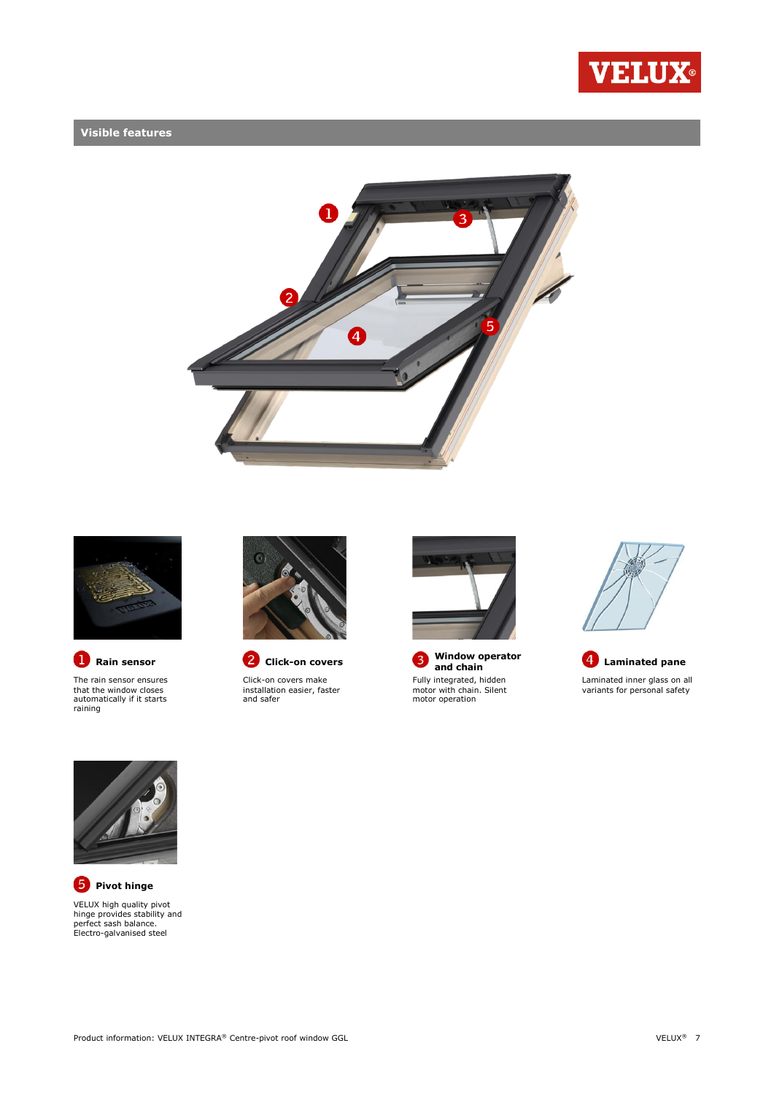

### **Visible features**





The rain sensor ensures that the window closes automatically if it starts raining



**Rain sensor C** Click-on covers

Click-on covers make installation easier, faster and safer



**Window operator**  3 Fully integrated, hidden motor with chain. Silent motor operation







**P** Pivot hinge VELUX high quality pivot hinge provides stability and perfect sash balance. Electro-galvanised steel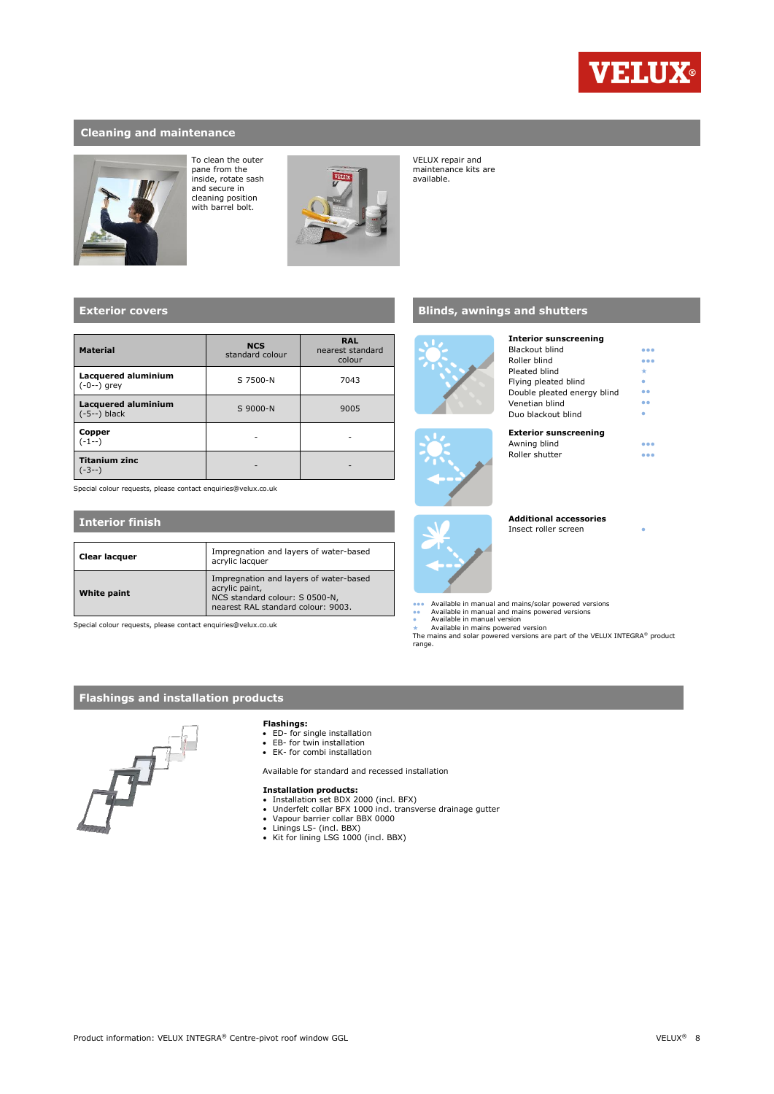

●●● ●●●

### **Cleaning and maintenance**



To clean the outer pane from the inside, rotate sash and secure in cleaning position with barrel bolt.



VELUX repair and maintenance kits are available.

### **Exterior covers**

| <b>Material</b>                              | <b>NCS</b><br>standard colour | <b>RAL</b><br>nearest standard<br>colour |
|----------------------------------------------|-------------------------------|------------------------------------------|
| Lacquered aluminium<br>$(-0--)$ grey         | S 7500-N                      | 7043                                     |
| <b>Lacquered aluminium</b><br>$(-5--)$ black | S 9000-N                      | 9005                                     |
| Copper<br>(-1--)                             |                               |                                          |
| <b>Titanium zinc</b><br>-3--)                |                               |                                          |

Special colour requests, please contact enquiries@velux.co.uk

#### **Interior finish**

| Clear lacquer | Impregnation and layers of water-based<br>acrylic lacquer                                                                        |
|---------------|----------------------------------------------------------------------------------------------------------------------------------|
| White paint   | Impregnation and layers of water-based<br>acrylic paint,<br>NCS standard colour: S 0500-N,<br>nearest RAL standard colour: 9003. |

Special colour requests, please contact enquiries@velux.co.uk

### **Blinds, awnings and shutters**





| Pleated blind                |  |
|------------------------------|--|
| Flying pleated blind         |  |
| Double pleated energy blind  |  |
| Venetian blind               |  |
| Duo blackout blind           |  |
| <b>Exterior sunscreening</b> |  |
| Awning blind                 |  |
| Roller shutter               |  |
|                              |  |
|                              |  |
|                              |  |



**Additional accessories**

**Interior sunscreening** Blackout blind Roller blind

Insect roller screen

- 
- ●●● Available in manual and mains/solar powered versions<br>●● Available in manual and mains powered versions<br>● Available in maina version<br>★ Available in mains powered version
- 

The mains and solar powered versions are part of the VELUX INTEGRA® product range.

### **Flashings and installation products**



#### **Flashings:**

- ED- for single installation EB- for twin installation EK- for combi installation
- 
- 

Available for standard and recessed installation

- 
- **Installation products:**<br>• Installation set BDX 2000 (incl. BFX)<br>• Underfelt collar BFX 1000 incl. transverse drainage gutter<br>• Vapour barrier collar BBX 0000
- 
- Linings LS- (incl. BBX) Kit for lining LSG 1000 (incl. BBX)
-